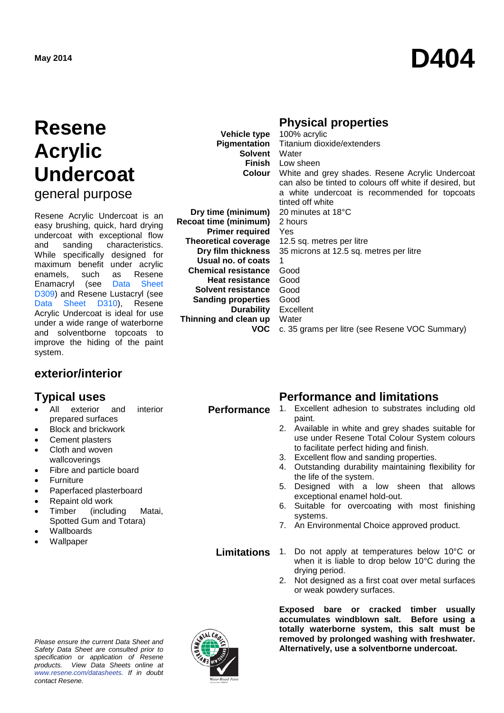# **May <sup>2014</sup> D404**

## **Resene Acrylic Undercoat**

general purpose

Resene Acrylic Undercoat is an easy brushing, quick, hard drying undercoat with exceptional flow<br>and sanding characteristics. characteristics. While specifically designed for maximum benefit under acrylic<br>enamels, such as Resene enamels, such as Resene Enamacryl (see [Data Sheet](http://www.resene.co.nz/archspec/datashts/d309_Enamacryl_WB_Enamel.pdf)  [D309\)](http://www.resene.co.nz/archspec/datashts/d309_Enamacryl_WB_Enamel.pdf) and Resene Lustacryl (see Data [Sheet D310\)](http://www.resene.co.nz/archspec/datashts/d310_Lustacryl_WB_Enamel.pdf), Resene Acrylic Undercoat is ideal for use under a wide range of waterborne and solventborne topcoats to improve the hiding of the paint system.

### **exterior/interior**

- exterior and interior prepared surfaces
- Block and brickwork
- Cement plasters
- Cloth and woven wallcoverings
- Fibre and particle board
- Furniture
- Paperfaced plasterboard
- Repaint old work
- Timber (including Matai, Spotted Gum and Totara)
- **Wallboards**
- **Wallpaper**

#### *Please ensure the current Data Sheet and Safety Data Sheet are consulted prior to specification or application of Resene products. View Data Sheets online at [www.resene.com/datasheets.](http://www.resene.com/datasheets) If in doubt contact Resene.*



**Vehicle type Pigmentation Solvent** Water

**Dry time (minimum) Recoat time (minimum) Primer required Theoretical coverage Dry film thickness Usual no. of coats Chemical resistance Heat resistance Solvent resistance Sanding properties Durability Thinning and clean up VOC**

### **Physical properties**

**Finish** Low sheen **Colour** White and grey shades. Resene Acrylic Undercoat 100% acrylic Titanium dioxide/extenders can also be tinted to colours off white if desired, but a white undercoat is recommended for topcoats tinted off white 20 minutes at 18°C 2 hours Yes 12.5 sq. metres per litre 35 microns at 12.5 sq. metres per litre 1 Good Good Good Good Excellent **Water** c. 35 grams per litre (see [Resene VOC Summary\)](http://www.resene.co.nz/archspec/datashts/vocsummary.pdf)

### **Typical uses**<br> **Performance and limitations**<br> **Performance** 1. Excellent adhesion to substrates incl

- **Performance** 1. Excellent adhesion to substrates including old paint.
	- 2. Available in white and grey shades suitable for use under Resene Total Colour System colours to facilitate perfect hiding and finish.
	- 3. Excellent flow and sanding properties.
	- 4. Outstanding durability maintaining flexibility for the life of the system.
	- 5. Designed with a low sheen that allows exceptional enamel hold-out.
	- 6. Suitable for overcoating with most finishing systems.
	- 7. An Environmental Choice approved product.
	- **Limitations** 1. Do not apply at temperatures below 10°C or when it is liable to drop below 10°C during the drying period.
		- 2. Not designed as a first coat over metal surfaces or weak powdery surfaces.

**Exposed bare or cracked timber usually accumulates windblown salt. Before using a totally waterborne system, this salt must be removed by prolonged washing with freshwater. Alternatively, use a solventborne undercoat.**